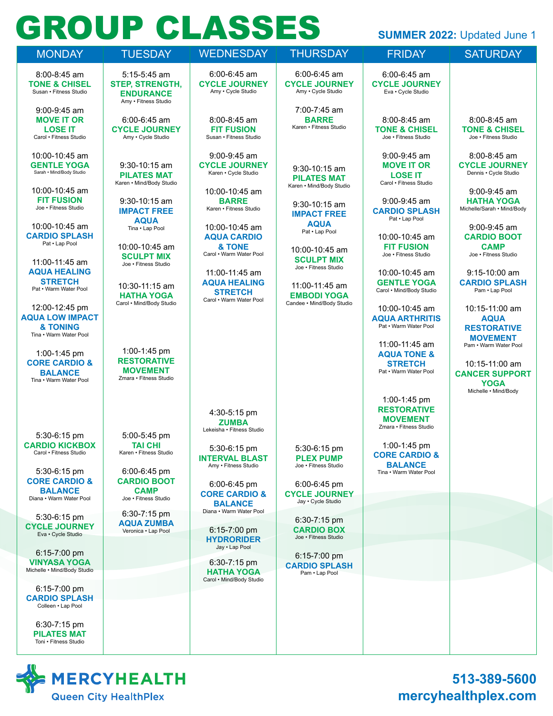# **GROUP CLASSES**

| <b>TANK COMPANY</b>                                                                   |                                                                                        | 7 - 1 - 7 - 7 - 7 - 7 -                                                   |                                                                 |                                                                                   | <b>SUMMER 2022: Updated June 1</b>                                            |
|---------------------------------------------------------------------------------------|----------------------------------------------------------------------------------------|---------------------------------------------------------------------------|-----------------------------------------------------------------|-----------------------------------------------------------------------------------|-------------------------------------------------------------------------------|
| <b>MONDAY</b>                                                                         | <b>TUESDAY</b>                                                                         | <b>WEDNESDAY</b>                                                          | <b>THURSDAY</b>                                                 | <b>FRIDAY</b>                                                                     | <b>SATURDAY</b>                                                               |
| 8:00-8:45 am<br><b>TONE &amp; CHISEL</b><br>Susan • Fitness Studio                    | $5:15 - 5:45$ am<br><b>STEP, STRENGTH,</b><br><b>ENDURANCE</b><br>Amy . Fitness Studio | $6:00 - 6:45$ am<br><b>CYCLE JOURNEY</b><br>Amy . Cycle Studio            | $6:00 - 6:45$ am<br><b>CYCLE JOURNEY</b><br>Amy . Cycle Studio  | 6:00-6:45 am<br><b>CYCLE JOURNEY</b><br>Eva · Cycle Studio                        |                                                                               |
| 9:00-9:45 am<br><b>MOVE IT OR</b><br><b>LOSE IT</b><br>Carol . Fitness Studio         | 6:00-6:45 am<br><b>CYCLE JOURNEY</b><br>Amy . Cycle Studio                             | 8:00-8:45 am<br><b>FIT FUSION</b><br>Susan • Fitness Studio               | 7:00-7:45 am<br><b>BARRE</b><br>Karen • Fitness Studio          | 8:00-8:45 am<br><b>TONE &amp; CHISEL</b><br>Joe . Fitness Studio                  | 8:00-8:45 am<br><b>TONE &amp; CHISEL</b><br>Joe . Fitness Studio              |
| 10:00-10:45 am<br><b>GENTLE YOGA</b><br>Sarah . Mind/Body Studio                      | 9:30-10:15 am<br><b>PILATES MAT</b><br>Karen • Mind/Body Studio                        | $9:00 - 9:45$ am<br><b>CYCLE JOURNEY</b><br>Karen • Cycle Studio          | 9:30-10:15 am<br><b>PILATES MAT</b><br>Karen • Mind/Body Studio | $9:00 - 9:45$ am<br><b>MOVE IT OR</b><br><b>LOSE IT</b><br>Carol • Fitness Studio | $8:00 - 8:45$ am<br><b>CYCLE JOURNEY</b><br>Dennis • Cycle Studio             |
| 10:00-10:45 am<br><b>FIT FUSION</b><br>Joe . Fitness Studio                           | 9:30-10:15 am<br><b>IMPACT FREE</b><br><b>AQUA</b>                                     | 10:00-10:45 am<br><b>BARRE</b><br>Karen • Fitness Studio                  | $9:30 - 10:15$ am<br><b>IMPACT FREE</b>                         | 9:00-9:45 am<br><b>CARDIO SPLASH</b><br>Pat . Lap Pool                            | 9:00-9:45 am<br><b>HATHA YOGA</b><br>Michelle/Sarah • Mind/Body               |
| 10:00-10:45 am<br><b>CARDIO SPLASH</b><br>Pat . Lap Pool                              | Tina . Lap Pool<br>10:00-10:45 am                                                      | 10:00-10:45 am<br><b>AQUA CARDIO</b><br>& TONE<br>Carol . Warm Water Pool | <b>AQUA</b><br>Pat . Lap Pool<br>10:00-10:45 am                 | 10:00-10:45 am<br><b>FIT FUSION</b><br>Joe . Fitness Studio                       | $9:00 - 9:45$ am<br><b>CARDIO BOOT</b><br><b>CAMP</b><br>Joe . Fitness Studio |
| 11:00-11:45 am<br><b>AQUA HEALING</b><br><b>STRETCH</b><br>Pat . Warm Water Pool      | <b>SCULPT MIX</b><br>Joe . Fitness Studio<br>10:30-11:15 am                            | 11:00-11:45 am<br><b>AQUA HEALING</b><br><b>STRETCH</b>                   | <b>SCULPT MIX</b><br>Joe . Fitness Studio<br>11:00-11:45 am     | 10:00-10:45 am<br><b>GENTLE YOGA</b><br>Carol . Mind/Body Studio                  | $9:15 - 10:00$ am<br><b>CARDIO SPLASH</b><br>Pam . Lap Pool                   |
| 12:00-12:45 pm<br><b>AQUA LOW IMPACT</b><br><b>&amp; TONING</b>                       | <b>HATHA YOGA</b><br>Carol . Mind/Body Studio                                          | Carol . Warm Water Pool                                                   | <b>EMBODI YOGA</b><br>Candee . Mind/Body Studio                 | 10:00-10:45 am<br><b>AQUA ARTHRITIS</b><br>Pat • Warm Water Pool                  | 10:15-11:00 am<br><b>AQUA</b><br><b>RESTORATIVE</b>                           |
| Tina • Warm Water Pool<br>1:00-1:45 pm<br><b>CORE CARDIO &amp;</b>                    | 1:00-1:45 pm<br><b>RESTORATIVE</b>                                                     |                                                                           |                                                                 | 11:00-11:45 am<br><b>AQUA TONE &amp;</b><br><b>STRETCH</b>                        | <b>MOVEMENT</b><br>Pam • Warm Water Pool<br>10:15-11:00 am                    |
| <b>BALANCE</b><br>Tina • Warm Water Pool                                              | <b>MOVEMENT</b><br>Zmara • Fitness Studio                                              |                                                                           |                                                                 | Pat • Warm Water Pool<br>1:00-1:45 pm                                             | <b>CANCER SUPPORT</b><br><b>YOGA</b><br>Michelle • Mind/Body                  |
| 5:30-6:15 pm                                                                          | 5:00-5:45 pm                                                                           | 4:30-5:15 pm<br><b>ZUMBA</b><br>Lekeisha • Fitness Studio                 |                                                                 | <b>RESTORATIVE</b><br><b>MOVEMENT</b><br>Zmara • Fitness Studio                   |                                                                               |
| <b>CARDIO KICKBOX</b><br>Carol • Fitness Studio                                       | <b>TAI CHI</b><br>Karen • Fitness Studio                                               | 5:30-6:15 pm<br><b>INTERVAL BLAST</b><br>Amy . Fitness Studio             | 5:30-6:15 pm<br><b>PLEX PUMP</b><br>Joe . Fitness Studio        | 1:00-1:45 pm<br><b>CORE CARDIO &amp;</b><br><b>BALANCE</b>                        |                                                                               |
| 5:30-6:15 pm<br><b>CORE CARDIO &amp;</b><br><b>BALANCE</b><br>Diana • Warm Water Pool | $6:00 - 6:45$ pm<br><b>CARDIO BOOT</b><br><b>CAMP</b><br>Joe . Fitness Studio          | 6:00-6:45 pm<br><b>CORE CARDIO &amp;</b><br><b>BALANCE</b>                | 6:00-6:45 pm<br><b>CYCLE JOURNEY</b><br>Jay . Cycle Studio      | Tina • Warm Water Pool                                                            |                                                                               |
| 5:30-6:15 pm<br><b>CYCLE JOURNEY</b><br>Eva · Cycle Studio                            | 6:30-7:15 pm<br><b>AQUA ZUMBA</b><br>Veronica . Lap Pool                               | Diana • Warm Water Pool<br>6:15-7:00 pm<br><b>HYDRORIDER</b>              | $6:30 - 7:15$ pm<br><b>CARDIO BOX</b><br>Joe • Fitness Studio   |                                                                                   |                                                                               |
| $6:15 - 7:00$ pm<br><b>VINYASA YOGA</b><br>Michelle . Mind/Body Studio                |                                                                                        | Jay . Lap Pool<br>6:30-7:15 pm<br><b>HATHA YOGA</b>                       | $6:15 - 7:00$ pm<br><b>CARDIO SPLASH</b>                        |                                                                                   |                                                                               |
| $6:15 - 7:00$ pm<br><b>CARDIO SPLASH</b><br>Colleen . Lap Pool                        |                                                                                        | Carol . Mind/Body Studio                                                  | Pam . Lap Pool                                                  |                                                                                   |                                                                               |
| 6:30-7:15 pm<br><b>PILATES MAT</b><br>Toni . Fitness Studio                           |                                                                                        |                                                                           |                                                                 |                                                                                   |                                                                               |



**513-389-5600 mercyhealthplex.com**